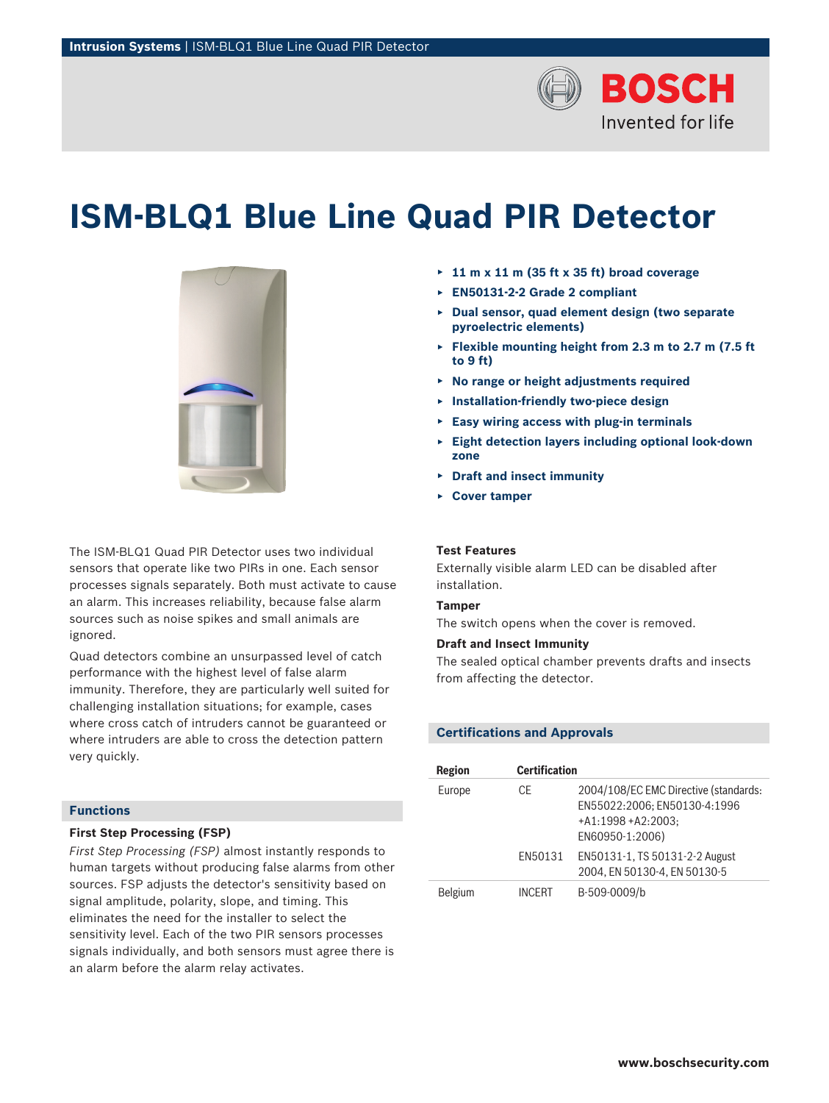

# **ISM‑BLQ1 Blue Line Quad PIR Detector**



The ISM-BLQ1 Quad PIR Detector uses two individual sensors that operate like two PIRs in one. Each sensor processes signals separately. Both must activate to cause an alarm. This increases reliability, because false alarm sources such as noise spikes and small animals are ignored.

Quad detectors combine an unsurpassed level of catch performance with the highest level of false alarm immunity. Therefore, they are particularly well suited for challenging installation situations; for example, cases where cross catch of intruders cannot be guaranteed or where intruders are able to cross the detection pattern very quickly.

## **Functions**

## **First Step Processing (FSP)**

*First Step Processing (FSP)* almost instantly responds to human targets without producing false alarms from other sources. FSP adjusts the detector's sensitivity based on signal amplitude, polarity, slope, and timing. This eliminates the need for the installer to select the sensitivity level. Each of the two PIR sensors processes signals individually, and both sensors must agree there is an alarm before the alarm relay activates.

- ▶ **11 m x 11 m (35 ft x 35 ft) broad coverage**
- ▶ **EN50131-2-2 Grade 2 compliant**
- ▶ **Dual sensor, quad element design (two separate pyroelectric elements)**
- ▶ **Flexible mounting height from 2.3 m to 2.7 m (7.5 ft to 9 ft)**
- ▶ **No range or height adjustments required**
- ▶ **Installation-friendly two-piece design**
- ▶ **Easy wiring access with plug-in terminals**
- ▶ **Eight detection layers including optional look-down zone**
- ▶ **Draft and insect immunity**
- ▶ **Cover tamper**

## **Test Features**

Externally visible alarm LED can be disabled after installation.

#### **Tamper**

The switch opens when the cover is removed.

## **Draft and Insect Immunity**

The sealed optical chamber prevents drafts and insects from affecting the detector.

#### **Certifications and Approvals**

| Region         | <b>Certification</b> |                                                                                                                 |
|----------------|----------------------|-----------------------------------------------------------------------------------------------------------------|
| Europe         | CF                   | 2004/108/EC EMC Directive (standards:<br>EN55022:2006: EN50130-4:1996<br>$+A1:1998+A2:2003:$<br>EN60950-1:2006) |
|                | FN50131              | EN50131-1, TS 50131-2-2 August<br>2004. EN 50130-4. EN 50130-5                                                  |
| <b>Belgium</b> | <b>INCFRT</b>        | B-509-0009/b                                                                                                    |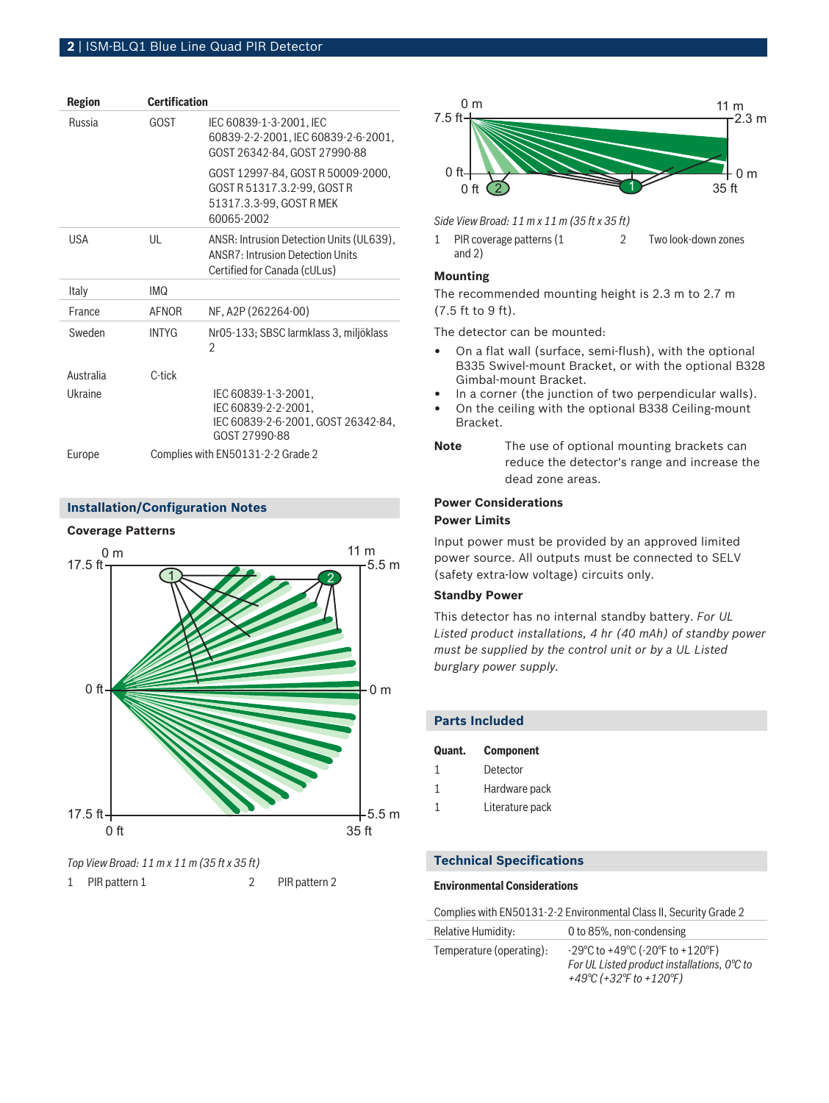## **2** | ISM‑BLQ1 Blue Line Quad PIR Detector

| <b>Region</b> | <b>Certification</b>              |                                                                                                                     |
|---------------|-----------------------------------|---------------------------------------------------------------------------------------------------------------------|
| <b>Russia</b> | GOST                              | IEC 60839-1-3-2001, IEC<br>60839-2-2-2001, IEC 60839-2-6-2001,<br>GOST 26342-84, GOST 27990-88                      |
|               |                                   | GOST 12997-84, GOST R 50009-2000,<br>GOST R 51317.3.2-99, GOST R<br>51317.3.3-99, GOST R MEK<br>60065-2002          |
| <b>USA</b>    | UL                                | ANSR: Intrusion Detection Units (UL639),<br><b>ANSR7: Intrusion Detection Units</b><br>Certified for Canada (cULus) |
| Italy         | <b>IMQ</b>                        |                                                                                                                     |
| France        | <b>AFNOR</b>                      | NF, A2P (262264-00)                                                                                                 |
| Sweden        | <b>INTYG</b>                      | Nr05-133; SBSC larmklass 3, miljöklass<br>2                                                                         |
| Australia     | C-tick                            |                                                                                                                     |
| Ukraine       |                                   | IEC 60839-1-3-2001,<br>IEC 60839-2-2-2001,<br>IEC 60839-2-6-2001, GOST 26342-84,<br>GOST 27990-88                   |
| Europe        | Complies with EN50131-2-2 Grade 2 |                                                                                                                     |

## **Installation/Configuration Notes**

#### **Coverage Patterns**



### *Top View Broad: 11 m x 11 m (35 ft x 35 ft)*

1 PIR pattern 1 2 PIR pattern 2



*Side View Broad: 11 m x 11 m (35 ft x 35 ft)*

1 PIR coverage patterns (1 and 2) 2 Two look-down zones

## **Mounting**

The recommended mounting height is 2.3 m to 2.7 m (7.5 ft to 9 ft).

The detector can be mounted:

- On a flat wall (surface, semi-flush), with the optional B335 Swivel-mount Bracket, or with the optional B328 Gimbal-mount Bracket.
- In a corner (the junction of two perpendicular walls).
- On the ceiling with the optional B338 Ceiling-mount Bracket.
- **Note** The use of optional mounting brackets can reduce the detector's range and increase the dead zone areas.

## **Power Considerations Power Limits**

Input power must be provided by an approved limited power source. All outputs must be connected to SELV (safety extra-low voltage) circuits only.

## **Standby Power**

This detector has no internal standby battery. *For UL Listed product installations, 4 hr (40 mAh) of standby power must be supplied by the control unit or by a UL Listed burglary power supply.*

| <b>Parts Included</b> |                         |  |  |
|-----------------------|-------------------------|--|--|
|                       | <b>Quant.</b> Component |  |  |
| $\mathbf{1}$          | Detector                |  |  |
|                       | Hardware pack           |  |  |

1 Literature pack

#### **Technical Specifications**

#### **Environmental Considerations**

Complies with EN50131-2-2 Environmental Class II, Security Grade 2

| Relative Humidity:       | 0 to 85%, non-condensing                                                                                                                            |
|--------------------------|-----------------------------------------------------------------------------------------------------------------------------------------------------|
| Temperature (operating): | $-29^{\circ}$ C to $+49^{\circ}$ C ( $-20^{\circ}$ F to $+120^{\circ}$ F)<br>For UL Listed product installations, 0°C to<br>+49°C (+32°F to +120°F) |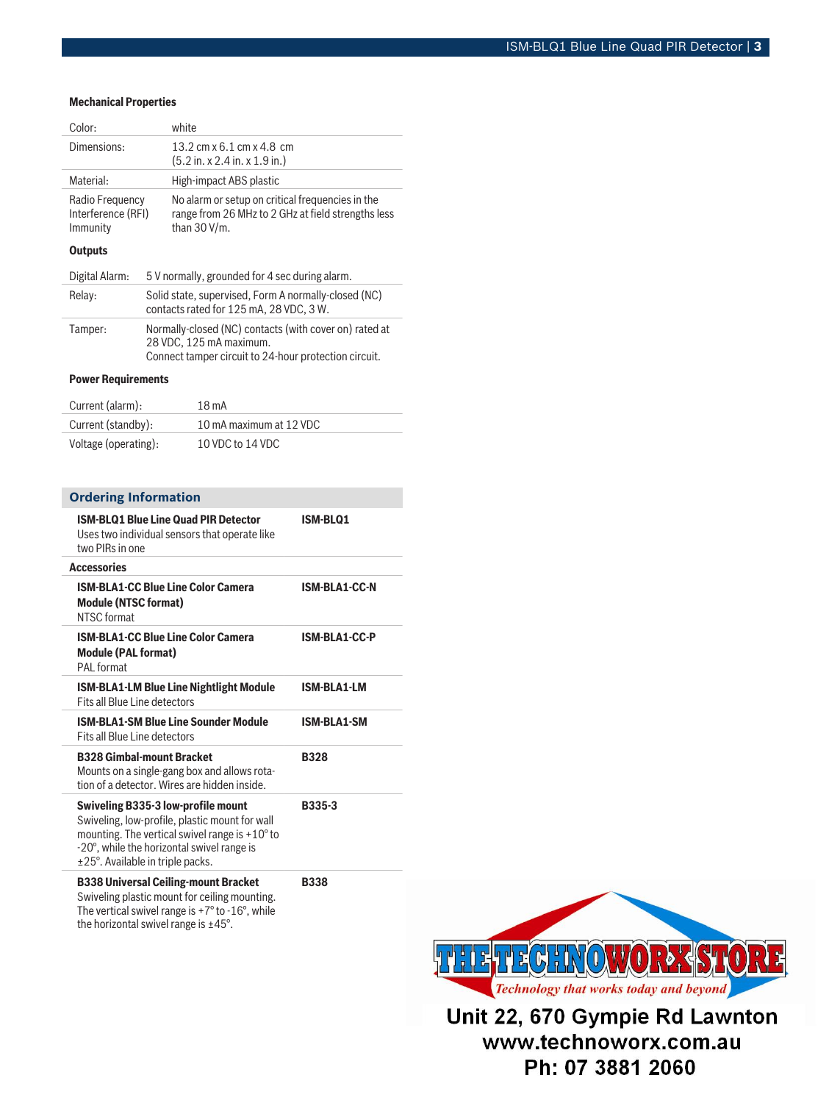#### **Mechanical Properties**

| Color:                                            |                                                                                                                                            | white                                                                                                                     |  |
|---------------------------------------------------|--------------------------------------------------------------------------------------------------------------------------------------------|---------------------------------------------------------------------------------------------------------------------------|--|
| Dimensions:                                       |                                                                                                                                            | 13.2 cm x 6.1 cm x 4.8 cm<br>(5.2 in. x 2.4 in. x 1.9 in.)                                                                |  |
| Material:                                         |                                                                                                                                            | High-impact ABS plastic                                                                                                   |  |
| Radio Frequency<br>Interference (RFI)<br>Immunity |                                                                                                                                            | No alarm or setup on critical frequencies in the<br>range from 26 MHz to 2 GHz at field strengths less<br>than $30 V/m$ . |  |
| Outputs                                           |                                                                                                                                            |                                                                                                                           |  |
| Digital Alarm:                                    |                                                                                                                                            | 5 V normally, grounded for 4 sec during alarm.                                                                            |  |
| Relay:                                            | Solid state, supervised, Form A normally-closed (NC)<br>contacts rated for 125 mA, 28 VDC, 3 W.                                            |                                                                                                                           |  |
| Tamper:                                           | Normally-closed (NC) contacts (with cover on) rated at<br>28 VDC, 125 mA maximum.<br>Connect tamper circuit to 24-hour protection circuit. |                                                                                                                           |  |
| <b>Power Requirements</b>                         |                                                                                                                                            |                                                                                                                           |  |
| Current (alarm):                                  |                                                                                                                                            | $18m$ A                                                                                                                   |  |
| Current (standby):                                |                                                                                                                                            | 10 mA maximum at 12 VDC                                                                                                   |  |

Voltage (operating): 10 VDC to 14 VDC

| <b>Ordering Information</b> |  |  |
|-----------------------------|--|--|
|                             |  |  |

| <b>ISM-BLQ1 Blue Line Quad PIR Detector</b><br>Uses two individual sensors that operate like<br>two PIRs in one                                                                                                                      | <b>ISM-BLQ1</b>      |
|--------------------------------------------------------------------------------------------------------------------------------------------------------------------------------------------------------------------------------------|----------------------|
| <b>Accessories</b>                                                                                                                                                                                                                   |                      |
| <b>ISM-BLA1-CC Blue Line Color Camera</b><br><b>Module (NTSC format)</b><br>NTSC format                                                                                                                                              | <b>ISM-BLA1-CC-N</b> |
| <b>ISM-BLA1-CC Blue Line Color Camera</b><br><b>Module (PAL format)</b><br>PAL format                                                                                                                                                | <b>ISM-BLA1-CC-P</b> |
| <b>ISM-BLA1-LM Blue Line Nightlight Module</b><br>Fits all Blue Line detectors                                                                                                                                                       | <b>ISM-BLA1-LM</b>   |
| <b>ISM-BLA1-SM Blue Line Sounder Module</b><br>Fits all Blue Line detectors                                                                                                                                                          | <b>ISM-BLA1-SM</b>   |
| <b>B328 Gimbal-mount Bracket</b><br>Mounts on a single-gang box and allows rota-<br>tion of a detector. Wires are hidden inside.                                                                                                     | <b>B328</b>          |
| <b>Swiveling B335-3 low-profile mount</b><br>Swiveling, low-profile, plastic mount for wall<br>mounting. The vertical swivel range is +10° to<br>-20°, while the horizontal swivel range is<br>$\pm$ 25°. Available in triple packs. | <b>B335-3</b>        |
| <b>B338 Universal Ceiling-mount Bracket</b><br>Swiveling plastic mount for ceiling mounting.<br>The vertical swivel range is $+7^{\circ}$ to -16°, while<br>the horizontal swivel range is $\pm 45^{\circ}$ .                        | <b>B338</b>          |



Unit 22, 670 Gympie Rd Lawnton www.technoworx.com.au Ph: 07 3881 2060